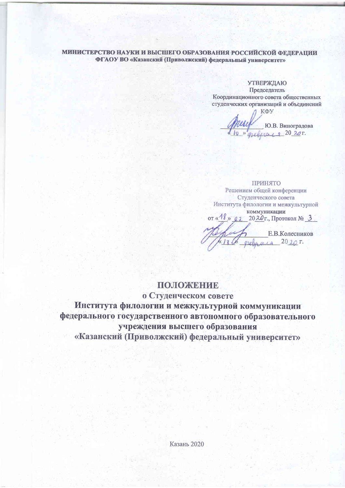#### МИНИСТЕРСТВО НАУКИ И ВЫСШЕГО ОБРАЗОВАНИЯ РОССИЙСКОЙ ФЕДЕРАЦИИ ФГАОУ ВО «Казанский (Приволжский) федеральный университет»

**УТВЕРЖДАЮ** Председатель

Координационного совета общественных студенческих организаций и объединений

КФУ Ю.В. Виноградова melinar  $9.202$ 

ПРИНЯТО Решением общей конференции Студенческого совета Института филологии и межкультурной коммуникации or  $\frac{48}{9}$  0.1  $20.20$ г., Протокол № 3

Е.В.Колесников  $-20 \lambda 2 \Gamma$ green aus

## ПОЛОЖЕНИЕ

о Студенческом совете

Института филологии и межкультурной коммуникации федерального государственного автономного образовательного учреждения высшего образования «Казанский (Приволжский) федеральный университет»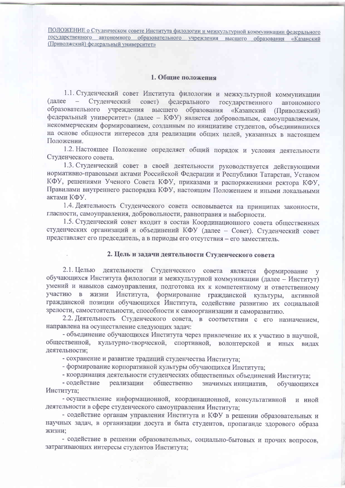#### 1. Общие положения

1.1. Студенческий совет Института филологии и межкультурной коммуникации (далее - Студенческий совет) федерального государственного автономного образовательного учреждения высшего образования «Казанский (Приволжский) федеральный университет» (далее - КФУ) является добровольным, самоуправляемым, некоммерческим формированием, созданным по инициативе студентов, объединившихся на основе общности интересов для реализации общих целей, указанных в настоящем Положении.

1.2. Настоящее Положение определяет общий порядок и условия деятельности Студенческого совета.

1.3. Студенческий совет в своей деятельности руководствуется действующими нормативно-правовыми актами Российской Федерации и Республики Татарстан, Уставом КФУ, решениями Ученого Совета КФУ, приказами и распоряжениями ректора КФУ, Правилами внутреннего распорядка КФУ, настоящим Положением и иными локальными актами КФУ.

1.4. Деятельность Студенческого совета основывается на принципах законности, гласности, самоуправления, добровольности, равноправия и выборности.

1.5. Студенческий совет входит в состав Координационного совета общественных студенческих организаций и объединений КФУ (далее - Совет). Студенческий совет представляет его председатель, а в периоды его отсутствия - его заместитель.

#### 2. Цель и задачи деятельности Студенческого совета

2.1. Целью деятельности Студенческого совета является формирование у обучающихся Института филологии и межкультурной коммуникации (далее - Институт) умений и навыков самоуправления, подготовка их к компетентному и ответственному участию в жизни Института, формирование гражданской культуры, активной гражданской позиции обучающихся Института, содействие развитию их социальной зрелости, самостоятельности, способности к самоорганизации и саморазвитию.

2.2. Деятельность Студенческого совета, в соответствии с его назначением, направлена на осуществление следующих задач:

- объединение обучающихся Института через привлечение их к участию в научной, общественной, культурно-творческой, спортивной, волонтерской и иных видах деятельности;

- сохранение и развитие традиций студенчества Института:

- формирование корпоративной культуры обучающихся Института;

- координация деятельности студенческих общественных объединений Института;

- содействие реализации общественно значимых инициатив, обучающихся Института;

- осуществление информационной, координационной, консультативной и иной деятельности в сфере студенческого самоуправления Института;

- содействие органам управления Института и КФУ в решении образовательных и научных задач, в организации досуга и быта студентов, пропаганде здорового образа жизни:

- содействие в решении образовательных, социально-бытовых и прочих вопросов, затрагивающих интересы студентов Института;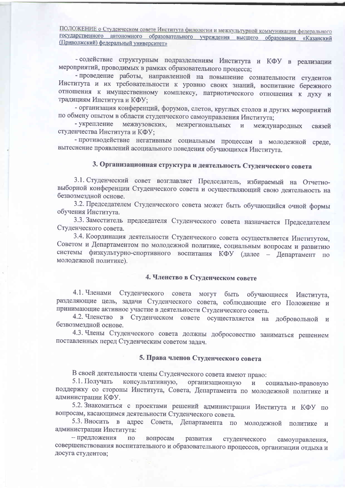- содействие структурным подразделениям Института и КФУ в реализации мероприятий, проводимых в рамках образовательного процесса;

- проведение работы, направленной на повышение сознательности студентов Института и их требовательности к уровню своих знаний, воспитание бережного отношения к имущественному комплексу, патриотического отношения к духу и традициям Института и КФУ:

- организация конференций, форумов, слетов, круглых столов и других мероприятий по обмену опытом в области студенческого самоуправления Института;

- укрепление межвузовских, межрегиональных международных  $\mathbf{H}$ связей студенчества Института и КФУ;

- противодействие негативным социальным процессам в молодежной среде, вытеснение проявлений асоциального поведения обучающихся Института.

# 3. Организационная структура и деятельность Студенческого совета

3.1. Студенческий совет возглавляет Председатель, избираемый на Отчетновыборной конференции Студенческого совета и осуществляющий свою деятельность на безвозмездной основе.

3.2. Председателем Студенческого совета может быть обучающийся очной формы обучения Института.

3.3. Заместитель председателя Студенческого совета назначается Председателем Студенческого совета.

3.4. Координация деятельности Студенческого совета осуществляется Институтом, Советом и Департаментом по молодежной политике, социальным вопросам и развитию системы физкультурно-спортивного воспитания КФУ (далее - Департамент по молодежной политике).

## 4. Членство в Студенческом совете

4.1. Членами Студенческого совета могут быть обучающиеся Института, разделяющие цель, задачи Студенческого совета, соблюдающие его Положение и принимающие активное участие в деятельности Студенческого совета.

4.2. Членство в Студенческом совете осуществляется на добровольной и безвозмездной основе.

4.3. Члены Студенческого совета должны добросовестно заниматься решением поставленных перед Студенческим советом задач.

#### 5. Права членов Студенческого совета

В своей деятельности члены Студенческого совета имеют право:

5.1. Получать консультативную, организационную  $\,$   $\,$   $\,$   $\,$ социально-правовую поддержку со стороны Института, Совета, Департамента по молодежной политике и администрации КФУ.

5.2. Знакомиться с проектами решений администрации Института и КФУ по вопросам, касающимся деятельности Студенческого совета.

5.3. Вносить в адрес Совета, Департамента по молодежной политике и администрации Института:

- предложения  $\Pi{\rm O}$ вопросам развития студенческого самоуправления, совершенствования воспитательного и образовательного процессов, организации отдыха и досуга студентов;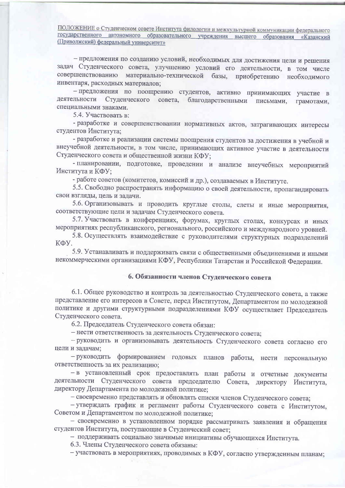- предложения по созданию условий, необходимых для достижения цели и решения задач Студенческого совета, улучшению условий его деятельности, в том числе совершенствованию материально-технической базы, приобретению необходимого инвентаря, расходных материалов;

- предложения по поощрению студентов, активно принимающих участие в деятельности Студенческого совета, благодарственными письмами, грамотами, специальными знаками.

5.4. Участвовать в:

- разработке и совершенствовании нормативных актов, затрагивающих интересы студентов Института;

- разработке и реализации системы поощрения студентов за достижения в учебной и внеучебной деятельности, в том числе, принимающих активное участие в деятельности Студенческого совета и общественной жизни КФУ;

- планировании, подготовке, проведении и анализе внеучебных мероприятий Института и КФУ;

- работе советов (комитетов, комиссий и др.), создаваемых в Институте.

5.5. Свободно распространять информацию о своей деятельности, пропагандировать свои взгляды, цель и задачи.

5.6. Организовывать и проводить круглые столы, слеты и иные мероприятия, соответствующие цели и задачам Студенческого совета.

5.7. Участвовать в конференциях, форумах, круглых столах, конкурсах и иных мероприятиях республиканского, регионального, российского и международного уровней.

5.8. Осуществлять взаимодействие с руководителями структурных подразделений КФУ.

5.9. Устанавливать и поддерживать связи с общественными объединениями и иными некоммерческими организациями КФУ, Республики Татарстан и Российской Федерации.

## 6. Обязанности членов Студенческого совета

6.1. Общее руководство и контроль за деятельностью Студенческого совета, а также представление его интересов в Совете, перед Институтом, Департаментом по молодежной политике и другими структурными подразделениями КФУ осуществляет Председатель Студенческого совета.

6.2. Председатель Студенческого совета обязан:

- нести ответственность за деятельность Студенческого совета;

- руководить и организовывать деятельность Студенческого совета согласно его цели и задачам;

- руководить формированием годовых планов работы, нести персональную ответственность за их реализацию;

- в установленный срок предоставлять план работы и отчетные документы деятельности Студенческого совета председателю Совета, директору Института, директору Департамента по молодежной политике;

- своевременно представлять и обновлять списки членов Студенческого совета;

- утверждать график и регламент работы Студенческого совета с Институтом, Советом и Департаментом по молодежной политике;

- своевременно в установленном порядке рассматривать заявления и обращения студентов Института, поступающие в Студенческий совет;

- поддерживать социально значимые инициативы обучающихся Института.

6.3. Члены Студенческого совета обязаны:

- участвовать в мероприятиях, проводимых в КФУ, согласно утвержденным планам;